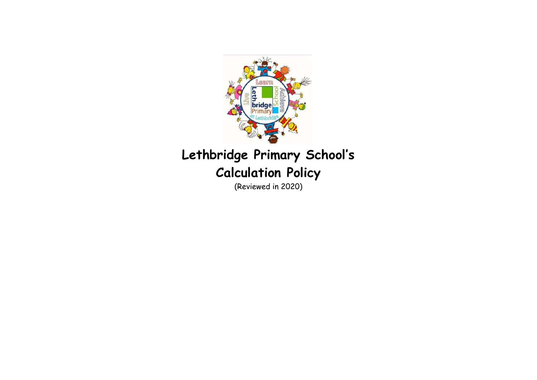

# **Lethbridge Primary School's Calculation Policy**

(Reviewed in 2020)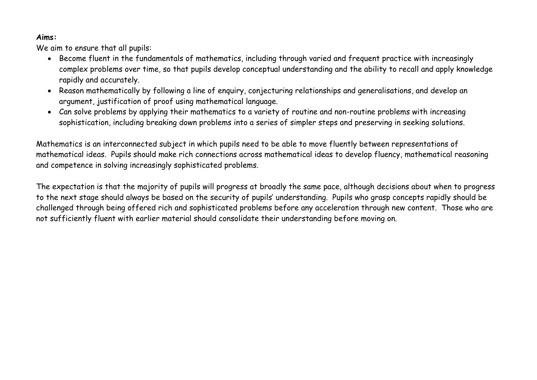#### **Aims:**

We aim to ensure that all pupils:

- Become fluent in the fundamentals of mathematics, including through varied and frequent practice with increasingly complex problems over time, so that pupils develop conceptual understanding and the ability to recall and apply knowledge rapidly and accurately.
- Reason mathematically by following a line of enquiry, conjecturing relationships and generalisations, and develop an argument, justification of proof using mathematical language.
- Can solve problems by applying their mathematics to a variety of routine and non-routine problems with increasing sophistication, including breaking down problems into a series of simpler steps and preserving in seeking solutions.

Mathematics is an interconnected subject in which pupils need to be able to move fluently between representations of mathematical ideas. Pupils should make rich connections across mathematical ideas to develop fluency, mathematical reasoning and competence in solving increasingly sophisticated problems.

The expectation is that the majority of pupils will progress at broadly the same pace, although decisions about when to progress to the next stage should always be based on the security of pupils' understanding. Pupils who grasp concepts rapidly should be challenged through being offered rich and sophisticated problems before any acceleration through new content. Those who are not sufficiently fluent with earlier material should consolidate their understanding before moving on.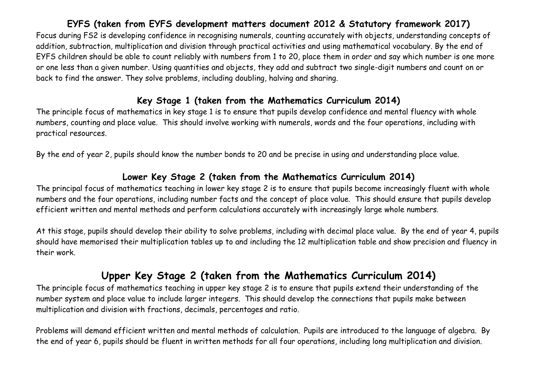## **EYFS (taken from EYFS development matters document 2012 & Statutory framework 2017)**

Focus during FS2 is developing confidence in recognising numerals, counting accurately with objects, understanding concepts of addition, subtraction, multiplication and division through practical activities and using mathematical vocabulary. By the end of EYFS children should be able to count reliably with numbers from 1 to 20, place them in order and say which number is one more or one less than a given number. Using quantities and objects, they add and subtract two single-digit numbers and count on or back to find the answer. They solve problems, including doubling, halving and sharing.

#### **Key Stage 1 (taken from the Mathematics Curriculum 2014)**

The principle focus of mathematics in key stage 1 is to ensure that pupils develop confidence and mental fluency with whole numbers, counting and place value. This should involve working with numerals, words and the four operations, including with practical resources.

By the end of year 2, pupils should know the number bonds to 20 and be precise in using and understanding place value.

#### **Lower Key Stage 2 (taken from the Mathematics Curriculum 2014)**

The principal focus of mathematics teaching in lower key stage 2 is to ensure that pupils become increasingly fluent with whole numbers and the four operations, including number facts and the concept of place value. This should ensure that pupils develop efficient written and mental methods and perform calculations accurately with increasingly large whole numbers.

At this stage, pupils should develop their ability to solve problems, including with decimal place value. By the end of year 4, pupils should have memorised their multiplication tables up to and including the 12 multiplication table and show precision and fluency in their work.

## **Upper Key Stage 2 (taken from the Mathematics Curriculum 2014)**

The principle focus of mathematics teaching in upper key stage 2 is to ensure that pupils extend their understanding of the number system and place value to include larger integers. This should develop the connections that pupils make between multiplication and division with fractions, decimals, percentages and ratio.

Problems will demand efficient written and mental methods of calculation. Pupils are introduced to the language of algebra. By the end of year 6, pupils should be fluent in written methods for all four operations, including long multiplication and division.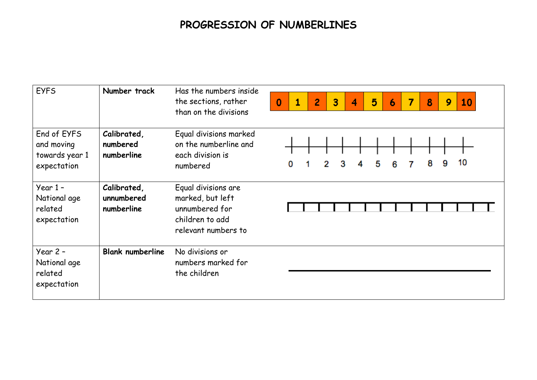# **PROGRESSION OF NUMBERLINES**

| <b>EYFS</b>                                                | Number track                            | Has the numbers inside<br>the sections, rather<br>than on the divisions                             | 5<br>3<br>7<br>8<br>10<br>2<br>$\Omega$<br>1<br>4<br>9<br>6 |
|------------------------------------------------------------|-----------------------------------------|-----------------------------------------------------------------------------------------------------|-------------------------------------------------------------|
| End of EYFS<br>and moving<br>towards year 1<br>expectation | Calibrated,<br>numbered<br>numberline   | Equal divisions marked<br>on the numberline and<br>each division is<br>numbered                     | 10<br>8<br>9<br>2<br>3<br>5<br>0<br>4<br>6                  |
| Year $1 -$<br>National age<br>related<br>expectation       | Calibrated,<br>unnumbered<br>numberline | Equal divisions are<br>marked, but left<br>unnumbered for<br>children to add<br>relevant numbers to |                                                             |
| Year $2 -$<br>National age<br>related<br>expectation       | <b>Blank numberline</b>                 | No divisions or<br>numbers marked for<br>the children                                               |                                                             |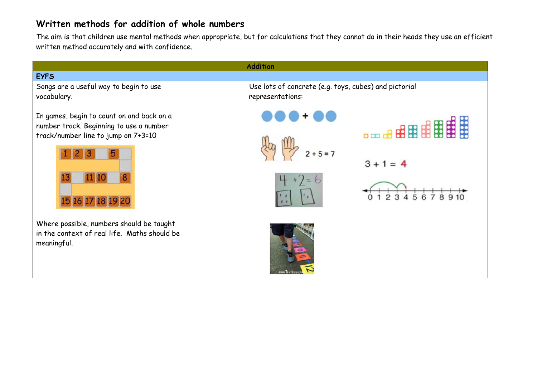## **Written methods for addition of whole numbers**

The aim is that children use mental methods when appropriate, but for calculations that they cannot do in their heads they use an efficient written method accurately and with confidence.

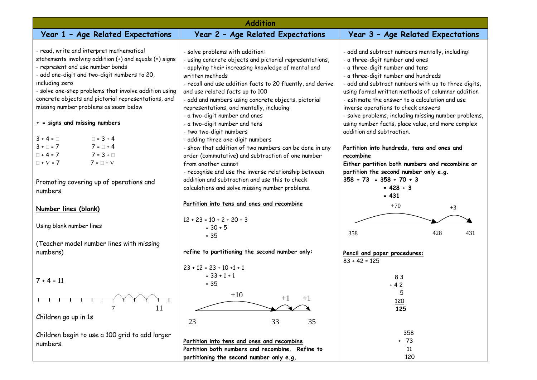| <b>Addition</b>                                                                                                                                                                                                                                                                                                                                                   |                                                                                                                                                                                                                                                                                                                                                                                                            |                                                                                                                                                                                                                                                                                                                                                                                                                           |  |  |
|-------------------------------------------------------------------------------------------------------------------------------------------------------------------------------------------------------------------------------------------------------------------------------------------------------------------------------------------------------------------|------------------------------------------------------------------------------------------------------------------------------------------------------------------------------------------------------------------------------------------------------------------------------------------------------------------------------------------------------------------------------------------------------------|---------------------------------------------------------------------------------------------------------------------------------------------------------------------------------------------------------------------------------------------------------------------------------------------------------------------------------------------------------------------------------------------------------------------------|--|--|
| Year 1 - Age Related Expectations                                                                                                                                                                                                                                                                                                                                 | Year 2 - Age Related Expectations                                                                                                                                                                                                                                                                                                                                                                          | Year 3 - Age Related Expectations                                                                                                                                                                                                                                                                                                                                                                                         |  |  |
| - read, write and interpret mathematical<br>statements involving addition (+) and equals (=) signs<br>- represent and use number bonds<br>- add one-digit and two-digit numbers to 20,<br>including zero<br>- solve one-step problems that involve addition using<br>concrete objects and pictorial representations, and<br>missing number problems as seem below | - solve problems with addition:<br>- using concrete objects and pictorial representations,<br>- applying their increasing knowledge of mental and<br>written methods<br>- recall and use addition facts to 20 fluently, and derive<br>and use related facts up to 100<br>- add and numbers using concrete objects, pictorial<br>representations, and mentally, including:<br>- a two-digit number and ones | - add and subtract numbers mentally, including:<br>- a three-digit number and ones<br>- a three-digit number and tens<br>- a three-digit number and hundreds<br>- add and subtract numbers with up to three digits,<br>using formal written methods of columnar addition<br>- estimate the answer to a calculation and use<br>inverse operations to check answers<br>- solve problems, including missing number problems, |  |  |
| $+$ = signs and missing numbers                                                                                                                                                                                                                                                                                                                                   | - a two-digit number and tens                                                                                                                                                                                                                                                                                                                                                                              | using number facts, place value, and more complex                                                                                                                                                                                                                                                                                                                                                                         |  |  |
| $3 + 4 = \Box$<br>$\Box$ = 3 + 4<br>$3 + \square = 7$<br>$7 = 1 + 4$<br>$\Box$ + 4 = 7<br>$7 = 3 + \Box$<br>$\Box$ + $\nabla$ = 7<br>$7 = \Box + \nabla$<br>Promoting covering up of operations and<br>numbers.                                                                                                                                                   | - two two-digit numbers<br>- adding three one-digit numbers<br>- show that addition of two numbers can be done in any<br>order (commutative) and subtraction of one number<br>from another cannot<br>- recognise and use the inverse relationship between<br>addition and subtraction and use this to check<br>calculations and solve missing number problems.                                             | addition and subtraction.<br>Partition into hundreds, tens and ones and<br>recombine<br>Either partition both numbers and recombine or<br>partition the second number only e.g.<br>$358 + 73 = 358 + 70 + 3$<br>$= 428 + 3$                                                                                                                                                                                               |  |  |
| Number lines (blank)                                                                                                                                                                                                                                                                                                                                              | Partition into tens and ones and recombine                                                                                                                                                                                                                                                                                                                                                                 | $= 431$<br>$+70$<br>$+3$                                                                                                                                                                                                                                                                                                                                                                                                  |  |  |
| Using blank number lines                                                                                                                                                                                                                                                                                                                                          | $12 + 23 = 10 + 2 + 20 + 3$<br>$= 30 + 5$<br>$= 35$                                                                                                                                                                                                                                                                                                                                                        | 358<br>428<br>431                                                                                                                                                                                                                                                                                                                                                                                                         |  |  |
| (Teacher model number lines with missing<br>numbers)                                                                                                                                                                                                                                                                                                              | refine to partitioning the second number only:                                                                                                                                                                                                                                                                                                                                                             | Pencil and paper procedures:<br>$83 + 42 = 125$                                                                                                                                                                                                                                                                                                                                                                           |  |  |
| $7 + 4 = 11$                                                                                                                                                                                                                                                                                                                                                      | $23 + 12 = 23 + 10 + 1 + 1$<br>$= 33 + 1 + 1$<br>$= 35$                                                                                                                                                                                                                                                                                                                                                    | 83<br>$+42$<br>5                                                                                                                                                                                                                                                                                                                                                                                                          |  |  |
| 7<br>11                                                                                                                                                                                                                                                                                                                                                           | $+10$<br>$+1$<br>$+1$                                                                                                                                                                                                                                                                                                                                                                                      | 120<br>125                                                                                                                                                                                                                                                                                                                                                                                                                |  |  |
| Children go up in 1s<br>Children begin to use a 100 grid to add larger<br>numbers.                                                                                                                                                                                                                                                                                | 23<br>33<br>35<br>Partition into tens and ones and recombine<br>Partition both numbers and recombine. Refine to                                                                                                                                                                                                                                                                                            | 358<br><u>73</u><br>$\ddot{}$<br>11                                                                                                                                                                                                                                                                                                                                                                                       |  |  |
|                                                                                                                                                                                                                                                                                                                                                                   | partitioning the second number only e.g.                                                                                                                                                                                                                                                                                                                                                                   | 120                                                                                                                                                                                                                                                                                                                                                                                                                       |  |  |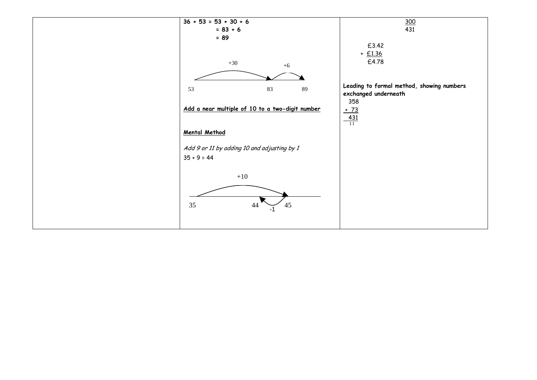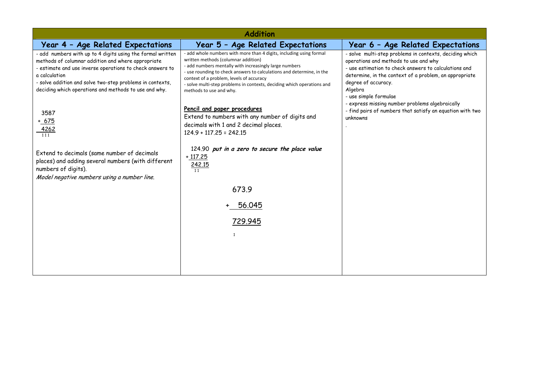| <b>Addition</b>                                                                                                                                                                                                                                                                                                      |                                                                                                                                                                                                                                                                                                                                                                                                |                                                                                                                                                                                                                                                                                |  |  |
|----------------------------------------------------------------------------------------------------------------------------------------------------------------------------------------------------------------------------------------------------------------------------------------------------------------------|------------------------------------------------------------------------------------------------------------------------------------------------------------------------------------------------------------------------------------------------------------------------------------------------------------------------------------------------------------------------------------------------|--------------------------------------------------------------------------------------------------------------------------------------------------------------------------------------------------------------------------------------------------------------------------------|--|--|
| Year 4 - Age Related Expectations                                                                                                                                                                                                                                                                                    | Year 5 - Age Related Expectations                                                                                                                                                                                                                                                                                                                                                              | Year 6 - Age Related Expectations                                                                                                                                                                                                                                              |  |  |
| - add numbers with up to 4 digits using the formal written<br>methods of columnar addition and where appropriate<br>- estimate and use inverse operations to check answers to<br>a calculation<br>- solve addition and solve two-step problems in contexts,<br>deciding which operations and methods to use and why. | - add whole numbers with more than 4 digits, including using formal<br>written methods (columnar addition)<br>- add numbers mentally with increasingly large numbers<br>- use rounding to check answers to calculations and determine, in the<br>context of a problem, levels of accuracy<br>- solve multi-step problems in contexts, deciding which operations and<br>methods to use and why. | - solve multi-step problems in contexts, deciding which<br>operations and methods to use and why<br>- use estimation to check answers to calculations and<br>determine, in the context of a problem, an appropriate<br>degree of accuracy.<br>Algebra<br>- use simple formulae |  |  |
| 3587<br>$+ 675$<br>$\frac{4262}{111}$                                                                                                                                                                                                                                                                                | Pencil and paper procedures<br>Extend to numbers with any number of digits and<br>decimals with 1 and 2 decimal places.<br>$124.9 + 117.25 = 242.15$                                                                                                                                                                                                                                           | - express missing number problems algebraically<br>- find pairs of numbers that satisfy an equation with two<br>unknowns                                                                                                                                                       |  |  |
| Extend to decimals (same number of decimals<br>places) and adding several numbers (with different<br>numbers of digits).<br>Model negative numbers using a number line.                                                                                                                                              | 124.90 put in a zero to secure the place value<br>$+117.25$<br>242.15<br>11                                                                                                                                                                                                                                                                                                                    |                                                                                                                                                                                                                                                                                |  |  |
|                                                                                                                                                                                                                                                                                                                      | 673.9                                                                                                                                                                                                                                                                                                                                                                                          |                                                                                                                                                                                                                                                                                |  |  |
|                                                                                                                                                                                                                                                                                                                      | 56.045                                                                                                                                                                                                                                                                                                                                                                                         |                                                                                                                                                                                                                                                                                |  |  |
|                                                                                                                                                                                                                                                                                                                      | 729.945                                                                                                                                                                                                                                                                                                                                                                                        |                                                                                                                                                                                                                                                                                |  |  |
|                                                                                                                                                                                                                                                                                                                      | 1                                                                                                                                                                                                                                                                                                                                                                                              |                                                                                                                                                                                                                                                                                |  |  |
|                                                                                                                                                                                                                                                                                                                      |                                                                                                                                                                                                                                                                                                                                                                                                |                                                                                                                                                                                                                                                                                |  |  |
|                                                                                                                                                                                                                                                                                                                      |                                                                                                                                                                                                                                                                                                                                                                                                |                                                                                                                                                                                                                                                                                |  |  |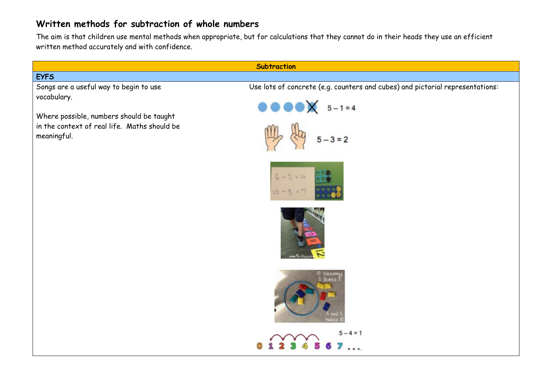## **Written methods for subtraction of whole numbers**

The aim is that children use mental methods when appropriate, but for calculations that they cannot do in their heads they use an efficient written method accurately and with confidence.

| <b>Subtraction</b>                                                                                      |                                                                                                                                     |  |  |
|---------------------------------------------------------------------------------------------------------|-------------------------------------------------------------------------------------------------------------------------------------|--|--|
| <b>EYFS</b>                                                                                             |                                                                                                                                     |  |  |
| Songs are a useful way to begin to use<br>vocabulary.                                                   | Use lots of concrete (e.g. counters and cubes) and pictorial representations:<br>$\bullet \bullet \bullet \bullet \times 5 - 1 = 4$ |  |  |
| Where possible, numbers should be taught<br>in the context of real life. Maths should be<br>meaningful. | $5 - 3 = 2$                                                                                                                         |  |  |
|                                                                                                         | $6 - 2 = 4$                                                                                                                         |  |  |
|                                                                                                         |                                                                                                                                     |  |  |
|                                                                                                         | 10 takeaw<br><b>Jeaves</b>                                                                                                          |  |  |
|                                                                                                         | $-4=1$<br>$\bullet$ $\bullet$                                                                                                       |  |  |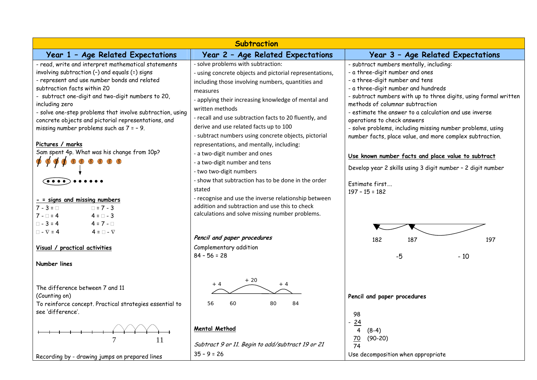| <b>Subtraction</b>                                                                                                                                                                                                                                                                                                                                                                                                            |                                                                                                                                                                                                                                                                                                                                                                                                      |                                                                                                                                                                                                                                                                                                                                                                                                                                                                                |  |  |
|-------------------------------------------------------------------------------------------------------------------------------------------------------------------------------------------------------------------------------------------------------------------------------------------------------------------------------------------------------------------------------------------------------------------------------|------------------------------------------------------------------------------------------------------------------------------------------------------------------------------------------------------------------------------------------------------------------------------------------------------------------------------------------------------------------------------------------------------|--------------------------------------------------------------------------------------------------------------------------------------------------------------------------------------------------------------------------------------------------------------------------------------------------------------------------------------------------------------------------------------------------------------------------------------------------------------------------------|--|--|
| Year 1 - Age Related Expectations                                                                                                                                                                                                                                                                                                                                                                                             | Year 2 - Age Related Expectations                                                                                                                                                                                                                                                                                                                                                                    | Year 3 - Age Related Expectations                                                                                                                                                                                                                                                                                                                                                                                                                                              |  |  |
| - read, write and interpret mathematical statements<br>involving subtraction (-) and equals (=) signs<br>- represent and use number bonds and related<br>subtraction facts within 20<br>- subtract one-digit and two-digit numbers to 20,<br>including zero<br>- solve one-step problems that involve subtraction, using<br>concrete objects and pictorial representations, and<br>missing number problems such as $7 = -9$ . | - solve problems with subtraction:<br>- using concrete objects and pictorial representations,<br>including those involving numbers, quantities and<br>measures<br>- applying their increasing knowledge of mental and<br>written methods<br>- recall and use subtraction facts to 20 fluently, and<br>derive and use related facts up to 100<br>- subtract numbers using concrete objects, pictorial | - subtract numbers mentally, including:<br>- a three-digit number and ones<br>- a three-digit number and tens<br>- a three-digit number and hundreds<br>- subtract numbers with up to three digits, using formal written<br>methods of columnar subtraction<br>- estimate the answer to a calculation and use inverse<br>operations to check answers<br>- solve problems, including missing number problems, using<br>number facts, place value, and more complex subtraction. |  |  |
| Pictures / marks<br>Sam spent 4p. What was his change from 10p?<br>B<br>$-$ = signs and missing numbers<br>$\Box$ = 7 - 3<br>$7 - 3 = \Box$<br>$7 - 1 = 4$<br>$4 = 7 - 3$<br>$\Box$ - 3 = 4<br>$4 = 7 - 1$                                                                                                                                                                                                                    | representations, and mentally, including:<br>- a two-digit number and ones<br>- a two-digit number and tens<br>- two two-digit numbers<br>- show that subtraction has to be done in the order<br>stated<br>- recognise and use the inverse relationship between<br>addition and subtraction and use this to check<br>calculations and solve missing number problems.                                 | Use known number facts and place value to subtract<br>Develop year 2 skills using 3 digit number - 2 digit number<br>Estimate first<br>$197 - 15 = 182$                                                                                                                                                                                                                                                                                                                        |  |  |
| $4 = \square - \nabla$<br>$\Box$ - $\nabla$ = 4<br>Visual / practical activities<br>Number lines                                                                                                                                                                                                                                                                                                                              | Pencil and paper procedures<br>Complementary addition<br>$84 - 56 = 28$                                                                                                                                                                                                                                                                                                                              | 182<br>187<br>197<br>$-5$<br>$-10$                                                                                                                                                                                                                                                                                                                                                                                                                                             |  |  |
| The difference between 7 and 11<br>(Counting on)<br>To reinforce concept. Practical strategies essential to<br>see 'difference'.<br>7<br>11                                                                                                                                                                                                                                                                                   | $+20$<br>$+4$<br>$+4$<br>84<br>56<br>60<br>80<br>Mental Method<br>Subtract 9 or 11. Begin to add/subtract 19 or 21                                                                                                                                                                                                                                                                                   | Pencil and paper procedures<br>98<br>24<br>4<br>$(8-4)$<br>70<br>$(90-20)$<br>$\overline{74}$                                                                                                                                                                                                                                                                                                                                                                                  |  |  |
| Recording by - drawing jumps on prepared lines                                                                                                                                                                                                                                                                                                                                                                                | $35 - 9 = 26$                                                                                                                                                                                                                                                                                                                                                                                        | Use decomposition when appropriate                                                                                                                                                                                                                                                                                                                                                                                                                                             |  |  |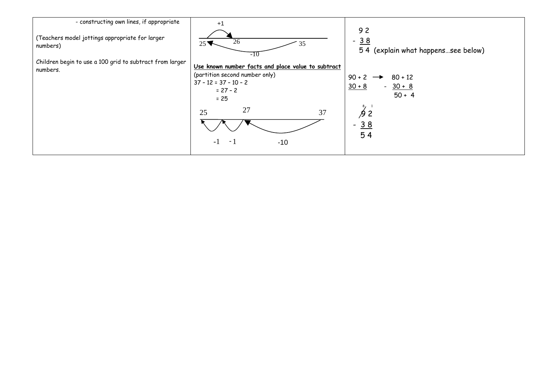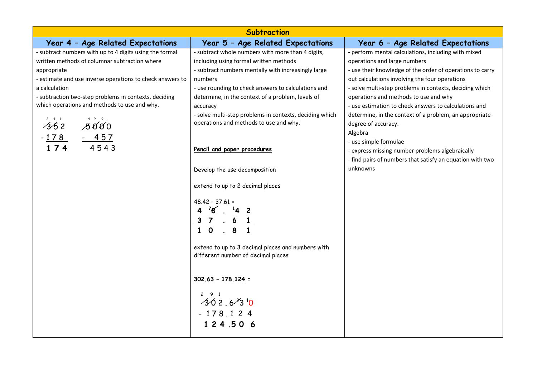| <b>Subtraction</b>                                        |                                                         |                                                           |  |  |
|-----------------------------------------------------------|---------------------------------------------------------|-----------------------------------------------------------|--|--|
| Year 4 - Age Related Expectations                         | Year 5 - Age Related Expectations                       | Year 6 - Age Related Expectations                         |  |  |
| - subtract numbers with up to 4 digits using the formal   | - subtract whole numbers with more than 4 digits,       | - perform mental calculations, including with mixed       |  |  |
| written methods of columnar subtraction where             | including using formal written methods                  | operations and large numbers                              |  |  |
| appropriate                                               | - subtract numbers mentally with increasingly large     | - use their knowledge of the order of operations to carry |  |  |
| - estimate and use inverse operations to check answers to | numbers                                                 | out calculations involving the four operations            |  |  |
| a calculation                                             | - use rounding to check answers to calculations and     | - solve multi-step problems in contexts, deciding which   |  |  |
| - subtraction two-step problems in contexts, deciding     | determine, in the context of a problem, levels of       | operations and methods to use and why                     |  |  |
| which operations and methods to use and why.              | accuracy                                                | - use estimation to check answers to calculations and     |  |  |
|                                                           | - solve multi-step problems in contexts, deciding which | determine, in the context of a problem, an appropriate    |  |  |
| $\overrightarrow{35}^2$ $\overrightarrow{500}$            | operations and methods to use and why.                  | degree of accuracy.                                       |  |  |
|                                                           |                                                         | Algebra                                                   |  |  |
| $\frac{-178}{174}$ $\frac{-457}{4543}$                    | Pencil and paper procedures                             | - use simple formulae                                     |  |  |
|                                                           |                                                         | - express missing number problems algebraically           |  |  |
|                                                           |                                                         | - find pairs of numbers that satisfy an equation with two |  |  |
|                                                           | Develop the use decomposition                           | unknowns                                                  |  |  |
|                                                           | extend to up to 2 decimal places                        |                                                           |  |  |
|                                                           | $48.42 - 37.61 =$                                       |                                                           |  |  |
|                                                           | $4^{7}8^{14}2$                                          |                                                           |  |  |
|                                                           |                                                         |                                                           |  |  |
|                                                           | $\frac{3}{1}$ 0 $\frac{6}{8}$ 1                         |                                                           |  |  |
|                                                           |                                                         |                                                           |  |  |
|                                                           | extend to up to 3 decimal places and numbers with       |                                                           |  |  |
|                                                           | different number of decimal places                      |                                                           |  |  |
|                                                           |                                                         |                                                           |  |  |
|                                                           | $302.63 - 178.124 =$                                    |                                                           |  |  |
|                                                           |                                                         |                                                           |  |  |
|                                                           | $2 \quad 9 \quad 1$                                     |                                                           |  |  |
|                                                           | $302.6^{2}3^{10}$                                       |                                                           |  |  |
|                                                           |                                                         |                                                           |  |  |
|                                                           | $- \frac{178.124}{124.506}$                             |                                                           |  |  |
|                                                           |                                                         |                                                           |  |  |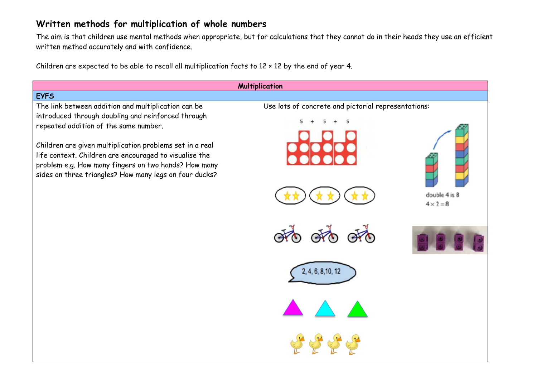## **Written methods for multiplication of whole numbers**

The aim is that children use mental methods when appropriate, but for calculations that they cannot do in their heads they use an efficient written method accurately and with confidence.

Children are expected to be able to recall all multiplication facts to 12 × 12 by the end of year 4.

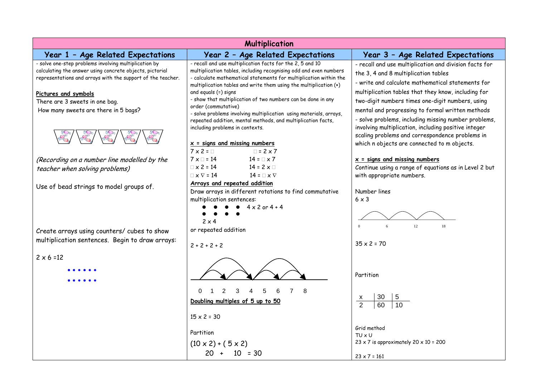| <b>Multiplication</b>                                       |                                                                                                                                        |                                                                                          |  |
|-------------------------------------------------------------|----------------------------------------------------------------------------------------------------------------------------------------|------------------------------------------------------------------------------------------|--|
| Year 1 - Age Related Expectations                           | Year 2 - Age Related Expectations                                                                                                      | Year 3 - Age Related Expectations                                                        |  |
| - solve one-step problems involving multiplication by       | - recall and use multiplication facts for the 2, 5 and 10                                                                              | - recall and use multiplication and division facts for                                   |  |
| calculating the answer using concrete objects, pictorial    | multiplication tables, including recognising odd and even numbers<br>- calculate mathematical statements for multiplication within the | the 3, 4 and 8 multiplication tables                                                     |  |
| representations and arrays with the support of the teacher. | multiplication tables and write them using the multiplication (x)                                                                      | - write and calculate mathematical statements for                                        |  |
| Pictures and symbols                                        | and equals (=) signs                                                                                                                   | multiplication tables that they know, including for                                      |  |
| There are 3 sweets in one bag.                              | - show that multiplication of two numbers can be done in any                                                                           | two-digit numbers times one-digit numbers, using                                         |  |
| How many sweets are there in 5 bags?                        | order (commutative)<br>- solve problems involving multiplication using materials, arrays,                                              | mental and progressing to formal written methods                                         |  |
|                                                             | repeated addition, mental methods, and multiplication facts,                                                                           | - solve problems, including missing number problems,                                     |  |
|                                                             | including problems in contexts.                                                                                                        | involving multiplication, including positive integer                                     |  |
|                                                             |                                                                                                                                        | scaling problems and correspondence problems in                                          |  |
|                                                             | $x =$ signs and missing numbers                                                                                                        | which n objects are connected to m objects.                                              |  |
|                                                             | $7 \times 2 = \square$<br>$\Box$ = 2 x 7<br>$14 = \square \times 7$<br>$7 \times \square = 14$                                         |                                                                                          |  |
| (Recording on a number line modelled by the                 | $\Box \times 2 = 14$<br>$14 = 2 \times \square$                                                                                        | $x =$ signs and missing numbers<br>Continue using a range of equations as in Level 2 but |  |
| teacher when solving problems)                              | $\Box \times \nabla = 14$<br>14 = $\sqcap \times \nabla$                                                                               | with appropriate numbers.                                                                |  |
| Use of bead strings to model groups of.                     | Arrays and repeated addition                                                                                                           |                                                                                          |  |
|                                                             | Draw arrays in different rotations to find commutative                                                                                 | Number lines                                                                             |  |
|                                                             | multiplication sentences:                                                                                                              | $6 \times 3$                                                                             |  |
|                                                             | $4 \times 2$ or $4 \div 4$<br>$\bullet$                                                                                                |                                                                                          |  |
|                                                             | $2 \times 4$                                                                                                                           |                                                                                          |  |
| Create arrays using counters/ cubes to show                 | or repeated addition                                                                                                                   | 12<br>6<br>18<br>$\Omega$                                                                |  |
| multiplication sentences. Begin to draw arrays:             |                                                                                                                                        |                                                                                          |  |
|                                                             | $2 + 2 + 2 + 2$                                                                                                                        | $35 \times 2 = 70$                                                                       |  |
| $2 \times 6 = 12$                                           |                                                                                                                                        |                                                                                          |  |
|                                                             |                                                                                                                                        |                                                                                          |  |
|                                                             |                                                                                                                                        | Partition                                                                                |  |
|                                                             |                                                                                                                                        |                                                                                          |  |
|                                                             | $\overline{2}$<br>3<br>5<br>8<br>$\Omega$<br>4<br>6<br>$\overline{7}$<br>$\mathbf{1}$                                                  |                                                                                          |  |
|                                                             | Doubling multiples of 5 up to 50                                                                                                       | 30<br><u>X</u><br>$\overline{2}$<br>10                                                   |  |
|                                                             |                                                                                                                                        |                                                                                          |  |
|                                                             | $15 \times 2 = 30$                                                                                                                     |                                                                                          |  |
|                                                             | Partition                                                                                                                              | Grid method                                                                              |  |
|                                                             |                                                                                                                                        | $TU \times U$<br>$23 \times 7$ is approximately $20 \times 10 = 200$                     |  |
|                                                             | $(10 \times 2) + (5 \times 2)$                                                                                                         |                                                                                          |  |
|                                                             | $20 + 10 = 30$                                                                                                                         | $23 \times 7 = 161$                                                                      |  |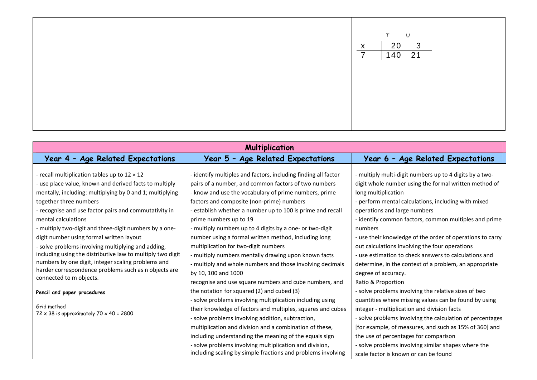|  | T U<br>$\begin{array}{ c c c }\n\hline\n20 & 3 \\ \hline\n140 & 21\n\end{array}$<br>$\mathsf{X}$<br>$\overline{7}$ |
|--|--------------------------------------------------------------------------------------------------------------------|
|  |                                                                                                                    |

| <b>Multiplication</b>                                                                                                                                                                                                                                                                                                                                                                                                                                                                                                                                                                                                                                                                                                                                         |                                                                                                                                                                                                                                                                                                                                                                                                                                                                                                                                                                                                                                                                                                                                                                                                                                                                                                                                                                                                                                                                                                                                                                       |                                                                                                                                                                                                                                                                                                                                                                                                                                                                                                                                                                                                                                                                                                                                                                                                                                                                                                                                                                                                                   |  |  |
|---------------------------------------------------------------------------------------------------------------------------------------------------------------------------------------------------------------------------------------------------------------------------------------------------------------------------------------------------------------------------------------------------------------------------------------------------------------------------------------------------------------------------------------------------------------------------------------------------------------------------------------------------------------------------------------------------------------------------------------------------------------|-----------------------------------------------------------------------------------------------------------------------------------------------------------------------------------------------------------------------------------------------------------------------------------------------------------------------------------------------------------------------------------------------------------------------------------------------------------------------------------------------------------------------------------------------------------------------------------------------------------------------------------------------------------------------------------------------------------------------------------------------------------------------------------------------------------------------------------------------------------------------------------------------------------------------------------------------------------------------------------------------------------------------------------------------------------------------------------------------------------------------------------------------------------------------|-------------------------------------------------------------------------------------------------------------------------------------------------------------------------------------------------------------------------------------------------------------------------------------------------------------------------------------------------------------------------------------------------------------------------------------------------------------------------------------------------------------------------------------------------------------------------------------------------------------------------------------------------------------------------------------------------------------------------------------------------------------------------------------------------------------------------------------------------------------------------------------------------------------------------------------------------------------------------------------------------------------------|--|--|
| Year 4 - Age Related Expectations                                                                                                                                                                                                                                                                                                                                                                                                                                                                                                                                                                                                                                                                                                                             | Year 5 - Age Related Expectations                                                                                                                                                                                                                                                                                                                                                                                                                                                                                                                                                                                                                                                                                                                                                                                                                                                                                                                                                                                                                                                                                                                                     | Year 6 - Age Related Expectations                                                                                                                                                                                                                                                                                                                                                                                                                                                                                                                                                                                                                                                                                                                                                                                                                                                                                                                                                                                 |  |  |
| - recall multiplication tables up to $12 \times 12$<br>- use place value, known and derived facts to multiply<br>mentally, including: multiplying by 0 and 1; multiplying<br>together three numbers<br>- recognise and use factor pairs and commutativity in<br>mental calculations<br>- multiply two-digit and three-digit numbers by a one-<br>digit number using formal written layout<br>- solve problems involving multiplying and adding,<br>including using the distributive law to multiply two digit<br>numbers by one digit, integer scaling problems and<br>harder correspondence problems such as n objects are<br>connected to m objects.<br>Pencil and paper procedures<br>Grid method<br>$72 \times 38$ is approximately $70 \times 40 = 2800$ | - identify multiples and factors, including finding all factor<br>pairs of a number, and common factors of two numbers<br>- know and use the vocabulary of prime numbers, prime<br>factors and composite (non-prime) numbers<br>- establish whether a number up to 100 is prime and recall<br>prime numbers up to 19<br>- multiply numbers up to 4 digits by a one- or two-digit<br>number using a formal written method, including long<br>multiplication for two-digit numbers<br>- multiply numbers mentally drawing upon known facts<br>- multiply and whole numbers and those involving decimals<br>by 10, 100 and 1000<br>recognise and use square numbers and cube numbers, and<br>the notation for squared (2) and cubed (3)<br>- solve problems involving multiplication including using<br>their knowledge of factors and multiples, squares and cubes<br>- solve problems involving addition, subtraction,<br>multiplication and division and a combination of these,<br>including understanding the meaning of the equals sign<br>- solve problems involving multiplication and division,<br>including scaling by simple fractions and problems involving | - multiply multi-digit numbers up to 4 digits by a two-<br>digit whole number using the formal written method of<br>long multiplication<br>- perform mental calculations, including with mixed<br>operations and large numbers<br>- identify common factors, common multiples and prime<br>numbers<br>- use their knowledge of the order of operations to carry<br>out calculations involving the four operations<br>- use estimation to check answers to calculations and<br>determine, in the context of a problem, an appropriate<br>degree of accuracy.<br>Ratio & Proportion<br>- solve problems involving the relative sizes of two<br>quantities where missing values can be found by using<br>integer - multiplication and division facts<br>- solve problems involving the calculation of percentages<br>[for example, of measures, and such as 15% of 360] and<br>the use of percentages for comparison<br>- solve problems involving similar shapes where the<br>scale factor is known or can be found |  |  |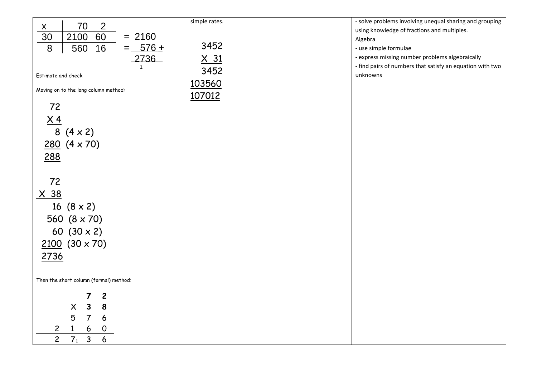|                                                           | simple rates. | - solve problems involving unequal sharing and grouping   |
|-----------------------------------------------------------|---------------|-----------------------------------------------------------|
| 70<br>$\overline{2}$                                      |               | using knowledge of fractions and multiples.               |
| $\frac{x}{30}$<br>2100<br>60<br>$= 2160$                  |               |                                                           |
|                                                           | 3452          | Algebra                                                   |
| $=$ 576 +<br>8<br>16<br>560                               |               | - use simple formulae                                     |
| 2736                                                      | $\times$ 31   | - express missing number problems algebraically           |
| $\mathbf{1}$                                              |               | - find pairs of numbers that satisfy an equation with two |
| Estimate and check                                        | 3452          | unknowns                                                  |
|                                                           | 103560        |                                                           |
| Moving on to the long column method:                      |               |                                                           |
|                                                           | 107012        |                                                           |
| 72                                                        |               |                                                           |
|                                                           |               |                                                           |
| $\underline{X4}$                                          |               |                                                           |
| $8(4 \times 2)$                                           |               |                                                           |
| $280 (4 \times 70)$                                       |               |                                                           |
|                                                           |               |                                                           |
| 288                                                       |               |                                                           |
|                                                           |               |                                                           |
|                                                           |               |                                                           |
| 72                                                        |               |                                                           |
| <u>X 38</u>                                               |               |                                                           |
|                                                           |               |                                                           |
| 16 $(8 \times 2)$                                         |               |                                                           |
| 560 $(8 \times 70)$                                       |               |                                                           |
|                                                           |               |                                                           |
| 60 $(30 \times 2)$                                        |               |                                                           |
| $2100 (30 \times 70)$                                     |               |                                                           |
|                                                           |               |                                                           |
| 2736                                                      |               |                                                           |
|                                                           |               |                                                           |
| Then the short column (formal) method:                    |               |                                                           |
|                                                           |               |                                                           |
| $\mathbf{2}$<br>7                                         |               |                                                           |
| $\mathbf{3}$<br>$\pmb{\times}$<br>8                       |               |                                                           |
|                                                           |               |                                                           |
| 5<br>$\overline{7}$<br>6                                  |               |                                                           |
| 6<br>$\overline{c}$<br>$\mathsf{O}$<br>1                  |               |                                                           |
| $\overline{2}$<br>$\overline{7_1}$<br>$\overline{3}$<br>6 |               |                                                           |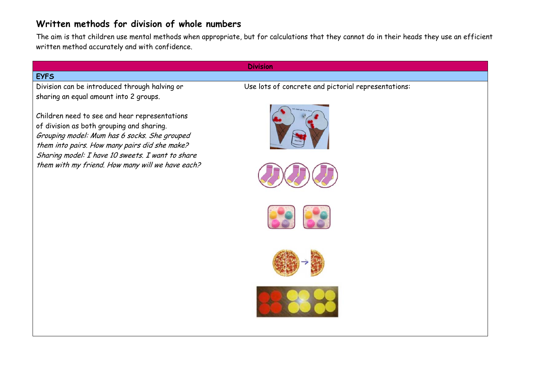#### **Written methods for division of whole numbers**

The aim is that children use mental methods when appropriate, but for calculations that they cannot do in their heads they use an efficient written method accurately and with confidence.

#### **EYFS**

sharing an equal amount into 2 groups.

Children need to see and hear representations of division as both grouping and sharing. Grouping model: Mum has 6 socks. She grouped them into pairs. How many pairs did she make? Sharing model: I have 10 sweets. I want to share them with my friend. How many will we have each?

#### **Division**

Division can be introduced through halving or Use lots of concrete and pictorial representations:









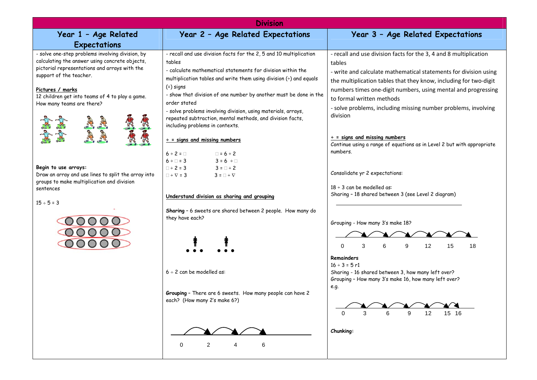|                                                                                                                                                                                                                                                                                                                                                                                                                                                                                 | <b>Division</b>                                                                                                                                                                                                                                                                                                                                                                                                                                                                                                                                                                                                                                                                                                                                                                                                                                                                                                                                                                                                                                          |                                                                                                                                                                                                                                                                                                                                                                                                                                                                                                                                                                                                                                                                                                                                                                                                                                                                                                                                                              |
|---------------------------------------------------------------------------------------------------------------------------------------------------------------------------------------------------------------------------------------------------------------------------------------------------------------------------------------------------------------------------------------------------------------------------------------------------------------------------------|----------------------------------------------------------------------------------------------------------------------------------------------------------------------------------------------------------------------------------------------------------------------------------------------------------------------------------------------------------------------------------------------------------------------------------------------------------------------------------------------------------------------------------------------------------------------------------------------------------------------------------------------------------------------------------------------------------------------------------------------------------------------------------------------------------------------------------------------------------------------------------------------------------------------------------------------------------------------------------------------------------------------------------------------------------|--------------------------------------------------------------------------------------------------------------------------------------------------------------------------------------------------------------------------------------------------------------------------------------------------------------------------------------------------------------------------------------------------------------------------------------------------------------------------------------------------------------------------------------------------------------------------------------------------------------------------------------------------------------------------------------------------------------------------------------------------------------------------------------------------------------------------------------------------------------------------------------------------------------------------------------------------------------|
| Year 1 - Age Related                                                                                                                                                                                                                                                                                                                                                                                                                                                            | Year 2 - Age Related Expectations                                                                                                                                                                                                                                                                                                                                                                                                                                                                                                                                                                                                                                                                                                                                                                                                                                                                                                                                                                                                                        | Year 3 - Age Related Expectations                                                                                                                                                                                                                                                                                                                                                                                                                                                                                                                                                                                                                                                                                                                                                                                                                                                                                                                            |
| Expectations                                                                                                                                                                                                                                                                                                                                                                                                                                                                    |                                                                                                                                                                                                                                                                                                                                                                                                                                                                                                                                                                                                                                                                                                                                                                                                                                                                                                                                                                                                                                                          |                                                                                                                                                                                                                                                                                                                                                                                                                                                                                                                                                                                                                                                                                                                                                                                                                                                                                                                                                              |
| - solve one-step problems involving division, by<br>calculating the answer using concrete objects,<br>pictorial representations and arrays with the<br>support of the teacher.<br>Pictures / marks<br>12 children get into teams of 4 to play a game.<br>How many teams are there?<br><b>READER</b><br>Begin to use arrays:<br>Draw an array and use lines to split the array into<br>groups to make multiplication and division<br>sentences<br>$15 ÷ 5 = 3$<br>00000<br>00000 | - recall and use division facts for the 2, 5 and 10 multiplication<br>tables<br>- calculate mathematical statements for division within the<br>multiplication tables and write them using division $\left(\frac{1}{2}\right)$ and equals<br>$( = )$ signs<br>- show that division of one number by another must be done in the<br>order stated<br>- solve problems involving division, using materials, arrays,<br>repeated subtraction, mental methods, and division facts,<br>including problems in contexts.<br>$\div$ = signs and missing numbers<br>$6 \div 2 = \Box$<br>$\Box = 6 \div 2$<br>$6 \div \Box = 3$<br>$3 = 6 \div \Box$<br>$3 = \square \div 2$<br>$\Box \div 2 = 3$<br>$\Box \div \nabla = 3$<br>$3 = \square \div \nabla$<br>Understand division as sharing and grouping<br>Sharing - 6 sweets are shared between 2 people. How many do<br>they have each?<br>$6 \div 2$ can be modelled as:<br>Grouping - There are 6 sweets. How many people can have 2<br>each? (How many 2's make 6?)<br>$\overline{2}$<br>6<br>$\mathbf 0$<br>4 | - recall and use division facts for the 3, 4 and 8 multiplication<br>tables<br>- write and calculate mathematical statements for division using<br>the multiplication tables that they know, including for two-digit<br>numbers times one-digit numbers, using mental and progressing<br>to formal written methods<br>- solve problems, including missing number problems, involving<br>division<br>$\div$ = signs and missing numbers<br>Continue using a range of equations as in Level 2 but with appropriate<br>numbers.<br>Consolidate yr 2 expectations:<br>$18 \div 3$ can be modelled as:<br>Sharing - 18 shared between 3 (see Level 2 diagram)<br>Grouping - How many 3's make 18?<br>3<br>6<br>9<br>12<br>15<br>$\Omega$<br>18<br><b>Remainders</b><br>$16 \div 3 = 5$ r1<br>Sharing - 16 shared between 3, how many left over?<br>Grouping - How many 3's make 16, how many left over?<br>e.g.<br>12<br>15 16<br>6<br>9<br>$\Omega$<br>Chunking: |
|                                                                                                                                                                                                                                                                                                                                                                                                                                                                                 |                                                                                                                                                                                                                                                                                                                                                                                                                                                                                                                                                                                                                                                                                                                                                                                                                                                                                                                                                                                                                                                          |                                                                                                                                                                                                                                                                                                                                                                                                                                                                                                                                                                                                                                                                                                                                                                                                                                                                                                                                                              |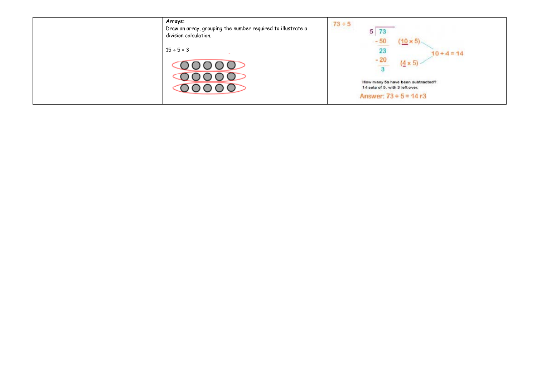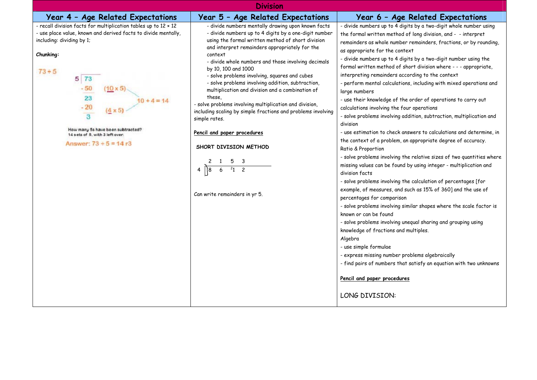| <b>Division</b>                                                                                                                                                                                                                                                                                                                                                                                                              |                                                                                                                                                                                                                                                                                                                                                                                                                                                                                                                                                                                                                                                                                                                                                         |                                                                                                                                                                                                                                                                                                                                                                                                                                                                                                                                                                                                                                                                                                                                                                                                                                                                                                                                                                                                                                                                                                                                                                                                                                                                                                                                                                                                                                                                                                                                                                                                                                                     |  |  |
|------------------------------------------------------------------------------------------------------------------------------------------------------------------------------------------------------------------------------------------------------------------------------------------------------------------------------------------------------------------------------------------------------------------------------|---------------------------------------------------------------------------------------------------------------------------------------------------------------------------------------------------------------------------------------------------------------------------------------------------------------------------------------------------------------------------------------------------------------------------------------------------------------------------------------------------------------------------------------------------------------------------------------------------------------------------------------------------------------------------------------------------------------------------------------------------------|-----------------------------------------------------------------------------------------------------------------------------------------------------------------------------------------------------------------------------------------------------------------------------------------------------------------------------------------------------------------------------------------------------------------------------------------------------------------------------------------------------------------------------------------------------------------------------------------------------------------------------------------------------------------------------------------------------------------------------------------------------------------------------------------------------------------------------------------------------------------------------------------------------------------------------------------------------------------------------------------------------------------------------------------------------------------------------------------------------------------------------------------------------------------------------------------------------------------------------------------------------------------------------------------------------------------------------------------------------------------------------------------------------------------------------------------------------------------------------------------------------------------------------------------------------------------------------------------------------------------------------------------------------|--|--|
| Year 4 - Age Related Expectations                                                                                                                                                                                                                                                                                                                                                                                            | Year 5 - Age Related Expectations                                                                                                                                                                                                                                                                                                                                                                                                                                                                                                                                                                                                                                                                                                                       | Year 6 - Age Related Expectations                                                                                                                                                                                                                                                                                                                                                                                                                                                                                                                                                                                                                                                                                                                                                                                                                                                                                                                                                                                                                                                                                                                                                                                                                                                                                                                                                                                                                                                                                                                                                                                                                   |  |  |
| - recall division facts for multiplication tables up to 12 x 12<br>- use place value, known and derived facts to divide mentally,<br>including: dividing by 1;<br>Chunking:<br>$73 + 5$<br>$5 \overline{73}$<br>$-50$<br>$10 \times 5$<br>$\begin{array}{c} 23 \\ -20 \end{array}$<br>$10 + 4 = 14$<br>$\overline{3}$<br>How many 5s have been subtracted?<br>14 sets of 5, with 3 left over.<br>Answer: $73 \div 5 = 14$ r3 | - divide numbers mentally drawing upon known facts<br>- divide numbers up to 4 digits by a one-digit number<br>using the formal written method of short division<br>and interpret remainders appropriately for the<br>context<br>- divide whole numbers and those involving decimals<br>by 10, 100 and 1000<br>- solve problems involving, squares and cubes<br>- solve problems involving addition, subtraction,<br>multiplication and division and a combination of<br>these.<br>- solve problems involving multiplication and division,<br>including scaling by simple fractions and problems involving<br>simple rates.<br>Pencil and paper procedures<br>SHORT DIVISION METHOD<br>$\mathsf{2}^{\mathsf{2}}$<br>21<br>Can write remainders in yr 5. | - divide numbers up to 4 digits by a two-digit whole number using<br>the formal written method of long division, and - - interpret<br>remainders as whole number remainders, fractions, or by rounding,<br>as appropriate for the context<br>- divide numbers up to 4 digits by a two-digit number using the<br>formal written method of short division where - - - appropriate,<br>interpreting remainders according to the context<br>- perform mental calculations, including with mixed operations and<br>large numbers<br>- use their knowledge of the order of operations to carry out<br>calculations involving the four operations<br>- solve problems involving addition, subtraction, multiplication and<br>division<br>- use estimation to check answers to calculations and determine, in<br>the context of a problem, an appropriate degree of accuracy.<br>Ratio & Proportion<br>- solve problems involving the relative sizes of two quantities where<br>missing values can be found by using integer - multiplication and<br>division facts<br>- solve problems involving the calculation of percentages [for<br>example, of measures, and such as 15% of 360] and the use of<br>percentages for comparison<br>- solve problems involving similar shapes where the scale factor is<br>known or can be found<br>- solve problems involving unequal sharing and grouping using<br>knowledge of fractions and multiples.<br>Algebra<br>- use simple formulae<br>- express missing number problems algebraically<br>- find pairs of numbers that satisfy an equation with two unknowns<br>Pencil and paper procedures<br>LONG DIVISION: |  |  |
|                                                                                                                                                                                                                                                                                                                                                                                                                              |                                                                                                                                                                                                                                                                                                                                                                                                                                                                                                                                                                                                                                                                                                                                                         |                                                                                                                                                                                                                                                                                                                                                                                                                                                                                                                                                                                                                                                                                                                                                                                                                                                                                                                                                                                                                                                                                                                                                                                                                                                                                                                                                                                                                                                                                                                                                                                                                                                     |  |  |